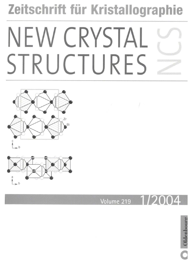# Zeitschrift für Kristallographie NEW CRYSTAL STRUCTURES





## Volume 219